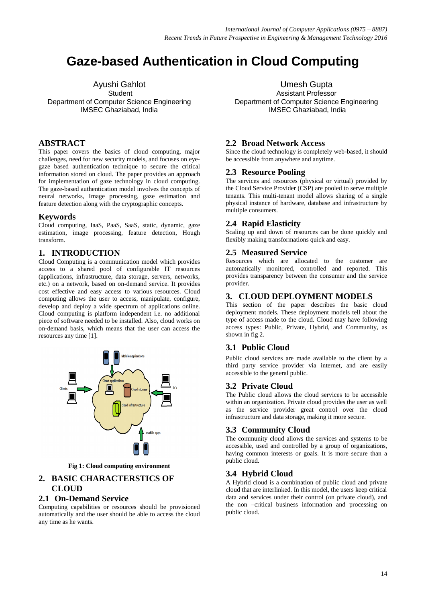# **Gaze-based Authentication in Cloud Computing**

Ayushi Gahlot **Student** Department of Computer Science Engineering IMSEC Ghaziabad, India

# **ABSTRACT**

This paper covers the basics of cloud computing, major challenges, need for new security models, and focuses on eyegaze based authentication technique to secure the critical information stored on cloud. The paper provides an approach for implementation of gaze technology in cloud computing. The gaze-based authentication model involves the concepts of neural networks, Image processing, gaze estimation and feature detection along with the cryptographic concepts.

#### **Keywords**

Cloud computing, IaaS, PaaS, SaaS, static, dynamic, gaze estimation, image processing, feature detection, Hough transform.

## **1. INTRODUCTION**

Cloud Computing is a communication model which provides access to a shared pool of configurable IT resources (applications, infrastructure, data storage, servers, networks, etc.) on a network, based on on-demand service. It provides cost effective and easy access to various resources. Cloud computing allows the user to access, manipulate, configure, develop and deploy a wide spectrum of applications online. Cloud computing is platform independent i.e. no additional piece of software needed to be installed. Also, cloud works on on-demand basis, which means that the user can access the resources any time [1].



**Fig 1: Cloud computing environment**

## **2. BASIC CHARACTERSTICS OF CLOUD**

#### **2.1 On-Demand Service**

Computing capabilities or resources should be provisioned automatically and the user should be able to access the cloud any time as he wants.

Umesh Gupta Assistant Professor Department of Computer Science Engineering IMSEC Ghaziabad, India

# **2.2 Broad Network Access**

Since the cloud technology is completely web-based, it should be accessible from anywhere and anytime.

#### **2.3 Resource Pooling**

The services and resources (physical or virtual) provided by the Cloud Service Provider (CSP) are pooled to serve multiple tenants. This multi-tenant model allows sharing of a single physical instance of hardware, database and infrastructure by multiple consumers.

## **2.4 Rapid Elasticity**

Scaling up and down of resources can be done quickly and flexibly making transformations quick and easy.

#### **2.5 Measured Service**

Resources which are allocated to the customer are automatically monitored, controlled and reported. This provides transparency between the consumer and the service provider.

# **3. CLOUD DEPLOYMENT MODELS**

This section of the paper describes the basic cloud deployment models. These deployment models tell about the type of access made to the cloud. Cloud may have following access types: Public, Private, Hybrid, and Community, as shown in fig 2.

# **3.1 Public Cloud**

Public cloud services are made available to the client by a third party service provider via internet, and are easily accessible to the general public.

#### **3.2 Private Cloud**

The Public cloud allows the cloud services to be accessible within an organization. Private cloud provides the user as well as the service provider great control over the cloud infrastructure and data storage, making it more secure.

# **3.3 Community Cloud**

The community cloud allows the services and systems to be accessible, used and controlled by a group of organizations, having common interests or goals. It is more secure than a public cloud.

#### **3.4 Hybrid Cloud**

A Hybrid cloud is a combination of public cloud and private cloud that are interlinked. In this model, the users keep critical data and services under their control (on private cloud), and the non –critical business information and processing on public cloud.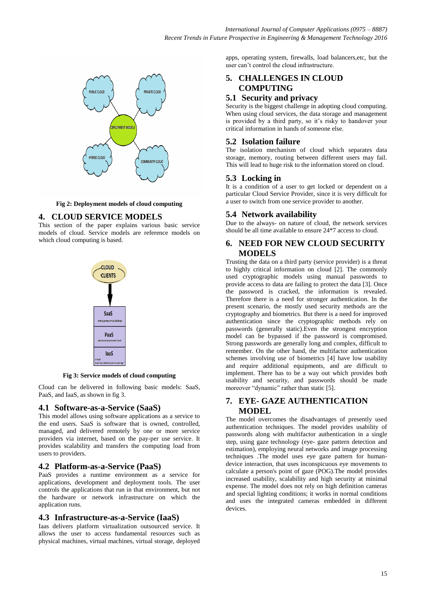

**Fig 2: Deployment models of cloud computing**

## **4. CLOUD SERVICE MODELS**

This section of the paper explains various basic service models of cloud. Service models are reference models on which cloud computing is based.



**Fig 3: Service models of cloud computing**

Cloud can be delivered in following basic models: SaaS, PaaS, and IaaS, as shown in fig 3.

#### **4.1 Software-as-a-Service (SaaS)**

This model allows using software applications as a service to the end users. SaaS is software that is owned, controlled, managed, and delivered remotely by one or more service providers via internet, based on the pay-per use service. It provides scalability and transfers the computing load from users to providers.

#### **4.2 Platform-as-a-Service (PaaS)**

PaaS provides a runtime environment as a service for applications, development and deployment tools. The user controls the applications that run in that environment, but not the hardware or network infrastructure on which the application runs.

#### **4.3 Infrastructure-as-a-Service (IaaS)**

Iaas delivers platform virtualization outsourced service. It allows the user to access fundamental resources such as physical machines, virtual machines, virtual storage, deployed

apps, operating system, firewalls, load balancers,etc, but the user can't control the cloud infrastructure.

# **5. CHALLENGES IN CLOUD COMPUTING**

#### **5.1 Security and privacy**

Security is the biggest challenge in adopting cloud computing. When using cloud services, the data storage and management is provided by a third party, so it's risky to handover your critical information in hands of someone else.

#### **5.2 Isolation failure**

The isolation mechanism of cloud which separates data storage, memory, routing between different users may fail. This will lead to huge risk to the information stored on cloud.

#### **5.3 Locking in**

It is a condition of a user to get locked or dependent on a particular Cloud Service Provider, since it is very difficult for a user to switch from one service provider to another.

#### **5.4 Network availability**

Due to the always- on nature of cloud, the network services should be all time available to ensure 24\*7 access to cloud.

# **6. NEED FOR NEW CLOUD SECURITY MODELS**

Trusting the data on a third party (service provider) is a threat to highly critical information on cloud [2]. The commonly used cryptographic models using manual passwords to provide access to data are failing to protect the data [3]. Once the password is cracked, the information is revealed. Therefore there is a need for stronger authentication. In the present scenario, the mostly used security methods are the cryptography and biometrics. But there is a need for improved authentication since the cryptographic methods rely on passwords (generally static).Even the strongest encryption model can be bypassed if the password is compromised. Strong passwords are generally long and complex, difficult to remember. On the other hand, the multifactor authentication schemes involving use of biometrics [4] have low usability and require additional equipments, and are difficult to implement. There has to be a way out which provides both usability and security, and passwords should be made moreover "dynamic" rather than static [5].

## **7. EYE- GAZE AUTHENTICATION MODEL**

The model overcomes the disadvantages of presently used authentication techniques. The model provides usability of passwords along with multifactor authentication in a single step, using gaze technology (eye- gaze pattern detection and estimation), employing neural networks and image processing techniques .The model uses eye gaze pattern for humandevice interaction, that uses inconspicuous eye movements to calculate a person's point of gaze (POG).The model provides increased usability, scalability and high security at minimal expense. The model does not rely on high definition cameras and special lighting conditions; it works in normal conditions and uses the integrated cameras embedded in different devices.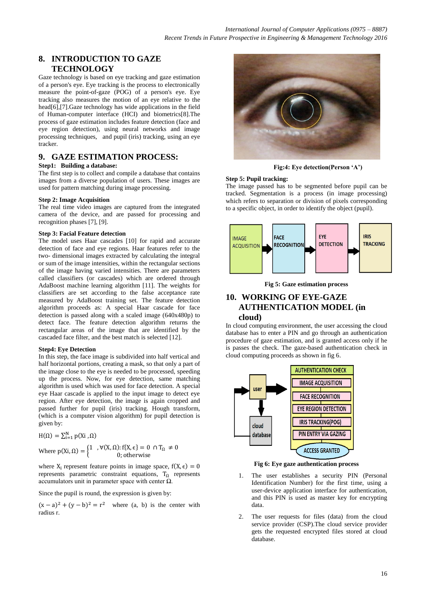# **8. INTRODUCTION TO GAZE TECHNOLOGY**

Gaze technology is based on eye tracking and gaze estimation of a person's eye. Eye tracking is the process to electronically measure the point-of-gaze (POG) of a person's eye. Eye tracking also measures the motion of an eye relative to the head[6],[7].Gaze technology has wide applications in the field of Human-computer interface (HCI) and biometrics[8].The process of gaze estimation includes feature detection (face and eye region detection), using neural networks and image processing techniques, and pupil (iris) tracking, using an eye tracker.

#### **9. GAZE ESTIMATION PROCESS:**

#### **Step1: Building a database:**

The first step is to collect and compile a database that contains images from a diverse population of users. These images are used for pattern matching during image processing.

#### **Step 2: Image Acquisition**

The real time video images are captured from the integrated camera of the device, and are passed for processing and recognition phases [7], [9].

#### **Step 3: Facial Feature detection**

The model uses Haar cascades [10] for rapid and accurate detection of face and eye regions. Haar features refer to the two- dimensional images extracted by calculating the integral or sum of the image intensities, within the rectangular sections of the image having varied intensities. There are parameters called classifiers (or cascades) which are ordered through AdaBoost machine learning algorithm [11]. The weights for classifiers are set according to the false acceptance rate measured by AdaBoost training set. The feature detection algorithm proceeds as: A special Haar cascade for face detection is passed along with a scaled image (640x480p) to detect face. The feature detection algorithm returns the rectangular areas of the image that are identified by the cascaded face filter, and the best match is selected [12].

#### **Step4: Eye Detection**

In this step, the face image is subdivided into half vertical and half horizontal portions, creating a mask, so that only a part of the image close to the eye is needed to be processed, speeding up the process. Now, for eye detection, same matching algorithm is used which was used for face detection. A special eye Haar cascade is applied to the input image to detect eye region. After eye detection, the image is again cropped and passed further for pupil (iris) tracking. Hough transform, (which is a computer vision algorithm) for pupil detection is given by:

$$
H(\Omega)=\textstyle\sum_{i=1}^N p(Xi,\Omega)
$$

Where 
$$
p(Xi, \Omega) = \begin{cases} 1, & \forall (X, \Omega): f\{X, \epsilon\} = 0 \cap T_{\Omega} \neq 0 \\ 0; \text{otherwise} \end{cases}
$$

where  $X_i$  represent feature points in image space, represents parametric constraint equations,  $T_{\Omega}$  represents accumulators unit in parameter space with center  $\Omega$ .

Since the pupil is round, the expression is given by:

 $(x-a)^2 + (y-b)^2 = r^2$  where (a, b) is the center with radius r.



**Fig:4: Eye detection(Person 'A')**

#### **Step 5: Pupil tracking:**

The image passed has to be segmented before pupil can be tracked. Segmentation is a process (in image processing) which refers to separation or division of pixels corresponding to a specific object, in order to identify the object (pupil).



**Fig 5: Gaze estimation process**

#### **10. WORKING OF EYE-GAZE AUTHENTICATION MODEL (in cloud)**

In cloud computing environment, the user accessing the cloud database has to enter a PIN and go through an authentication procedure of gaze estimation, and is granted access only if he is passes the check. The gaze-based authentication check in cloud computing proceeds as shown in fig 6.



**Fig 6: Eye gaze authentication process**

- 1. The user establishes a security PIN (Personal Identification Number) for the first time, using a user-device application interface for authentication, and this PIN is used as master key for encrypting data.
- 2. The user requests for files (data) from the cloud service provider (CSP).The cloud service provider gets the requested encrypted files stored at cloud database.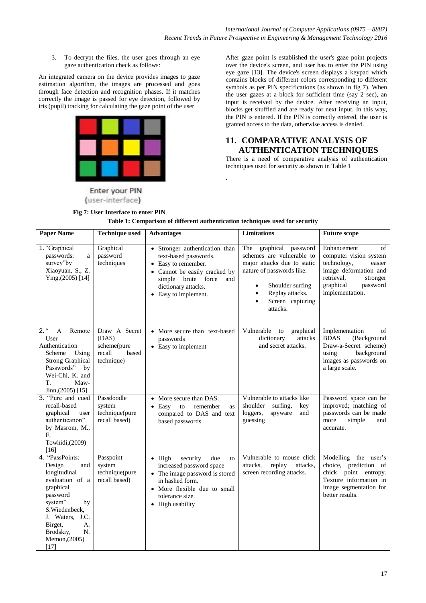3. To decrypt the files, the user goes through an eye gaze authentication check as follows:

An integrated camera on the device provides images to gaze estimation algorithm, the images are processed and goes through face detection and recognition phases. If it matches correctly the image is passed for eye detection, followed by iris (pupil) tracking for calculating the gaze point of the user



**Fig 7: User Interface to enter PIN**

Enter your PIN (user-interface) After gaze point is established the user's gaze point projects over the device's screen, and user has to enter the PIN using eye gaze [13]. The device's screen displays a keypad which contains blocks of different colors corresponding to different symbols as per PIN specifications (as shown in fig 7). When the user gazes at a block for sufficient time (say 2 sec), an input is received by the device. After receiving an input, blocks get shuffled and are ready for next input. In this way, the PIN is entered. If the PIN is correctly entered, the user is granted access to the data, otherwise access is denied.

# **11. COMPARATIVE ANALYSIS OF AUTHENTICATION TECHNIQUES**

There is a need of comparative analysis of authentication techniques used for security as shown in Table 1

| <b>Paper Name</b>                                                                                                                                                                                               | <b>Technique used</b><br>Limitations<br><b>Advantages</b><br><b>Future scope</b> |                                                                                                                                                                                               |                                                                                                                                                                                                                     |                                                                                                                                                                     |
|-----------------------------------------------------------------------------------------------------------------------------------------------------------------------------------------------------------------|----------------------------------------------------------------------------------|-----------------------------------------------------------------------------------------------------------------------------------------------------------------------------------------------|---------------------------------------------------------------------------------------------------------------------------------------------------------------------------------------------------------------------|---------------------------------------------------------------------------------------------------------------------------------------------------------------------|
|                                                                                                                                                                                                                 |                                                                                  |                                                                                                                                                                                               |                                                                                                                                                                                                                     |                                                                                                                                                                     |
| 1. "Graphical<br>passwords:<br>a<br>survey"by<br>Xiaoyuan, S., Z.<br>Ying, (2005) [14]                                                                                                                          | Graphical<br>password<br>techniques                                              | • Stronger authentication than<br>text-based passwords.<br>Easy to remember.<br>Cannot be easily cracked by<br>simple brute force<br>and<br>dictionary attacks.<br>• Easy to implement.       | The graphical<br>password<br>schemes are vulnerable to<br>major attacks due to static<br>nature of passwords like:<br>Shoulder surfing<br>Replay attacks.<br>$\bullet$<br>Screen capturing<br>$\bullet$<br>attacks. | Enhancement<br>of<br>computer vision system<br>technology,<br>easier<br>image deformation and<br>retrieval,<br>stronger<br>graphical<br>password<br>implementation. |
| $2.$ "<br>$\mathbf{A}$<br>Remote<br>User<br>Authentication<br>Using<br>Scheme<br><b>Strong Graphical</b><br>Passwords" by<br>Wei-Chi, K. and<br>T.<br>Maw-<br>$Jinn,(2005)$ [15]                                | Draw A Secret<br>(DAS)<br>scheme(pure<br>recall<br>based<br>technique)           | • More secure than text-based<br>passwords<br>• Easy to implement                                                                                                                             | Vulnerable to<br>graphical<br>dictionary<br>attacks<br>and secret attacks.                                                                                                                                          | Implementation<br>of<br><b>BDAS</b><br>(Background<br>Draw-a-Secret scheme)<br>using<br>background<br>images as passwords on<br>a large scale.                      |
| 3. "Pure and cued<br>recall-based<br>graphical<br>user<br>authentication"<br>by Masrom, M.,<br>F.<br>Towhidi, (2009)<br>[16]                                                                                    | Passdoodle<br>system<br>technique(pure<br>recall based)                          | More secure than DAS.<br>Easy<br>to<br>remember<br>$\bullet$<br>as<br>compared to DAS and text<br>based passwords                                                                             | Vulnerable to attacks like<br>shoulder<br>surfing,<br>key<br>loggers,<br>spyware<br>and<br>guessing                                                                                                                 | Password space can be<br>improved; matching of<br>passwords can be made<br>simple<br>more<br>and<br>accurate.                                                       |
| 4. "PassPoints:<br>and<br>Design<br>longitudinal<br>evaluation of a<br>graphical<br>password<br>system"<br>by<br>S. Wiedenbeck,<br>J. Waters, J.C.<br>A.<br>Birget,<br>Brodskiy,<br>N.<br>Memon, (2005)<br>[17] | Passpoint<br>system<br>technique(pure<br>recall based)                           | $\bullet$ High<br>security<br>due<br>to<br>increased password space<br>The image password is stored<br>in hashed form.<br>• More flexible due to small<br>tolerance size.<br>• High usability | Vulnerable to mouse click<br>attacks,<br>replay<br>attacks.<br>screen recording attacks.                                                                                                                            | Modelling the user's<br>choice, prediction of<br>chick point entropy.<br>Texture information in<br>image segmentation for<br>better results.                        |

| Table 1: Comparison of different authentication techniques used for security |  |  |
|------------------------------------------------------------------------------|--|--|
|                                                                              |  |  |

.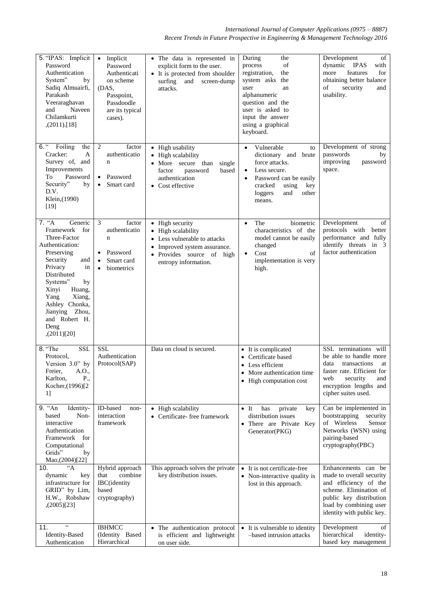*International Journal of Computer Applications (0975 – 8887) Recent Trends in Future Prospective in Engineering & Management Technology 2016*

| 5. "IPAS: Implicit<br>Password<br>Authentication<br>System"<br>by<br>Sadiq Almuairfi,<br>Parakash<br>Veeraraghavan<br>Naveen<br>and<br>Chilamkurti<br>$(2011)$ [18]                                                                                                       | Implicit<br>$\bullet$<br>Password<br>Authenticati<br>on scheme<br>(DAS,<br>Passpoint,<br>Passdoodle<br>are its typical<br>cases). | • The data is represented in<br>explicit form to the user.<br>• It is protected from shoulder<br>surfing<br>and<br>screen-dump<br>attacks.                                     | During<br>the<br>process<br>of<br>registration,<br>the<br>the<br>system asks<br>user<br>an<br>alphanumeric<br>question and the<br>user is asked to<br>input the answer<br>using a graphical<br>keyboard.    | Development<br>of<br>dynamic<br><b>IPAS</b><br>with<br>features<br>for<br>more<br>obtaining better balance<br>of<br>security<br>and<br>usability.                                      |
|---------------------------------------------------------------------------------------------------------------------------------------------------------------------------------------------------------------------------------------------------------------------------|-----------------------------------------------------------------------------------------------------------------------------------|--------------------------------------------------------------------------------------------------------------------------------------------------------------------------------|-------------------------------------------------------------------------------------------------------------------------------------------------------------------------------------------------------------|----------------------------------------------------------------------------------------------------------------------------------------------------------------------------------------|
| $6.$ $\frac{1}{2}$<br>Foiling<br>the<br>A<br>Cracker:<br>Survey of, and<br>Improvements<br>Password<br>To<br>Security"<br>by<br>D.V.<br>Klein, (1990)<br>$[19]$                                                                                                           | $\overline{c}$<br>factor<br>authenticatio<br>$\mathbf n$<br>Password<br>$\bullet$<br>Smart card                                   | • High usability<br>• High scalability<br>More secure than<br>single<br>based<br>factor<br>password<br>authentication<br>• Cost effective                                      | Vulnerable<br>$\bullet$<br>to<br>dictionary and brute<br>force attacks.<br>Less secure.<br>$\bullet$<br>Password can be easily<br>$\bullet$<br>cracked<br>using<br>key<br>loggers<br>and<br>other<br>means. | Development of strong<br>passwords<br>by<br>improving<br>password<br>space.                                                                                                            |
| $7.$ "A<br>Generic<br>Framework for<br>Three-Factor<br>Authentication:<br>Preserving<br>Security<br>and<br>Privacy<br>in<br>Distributed<br>Systems"<br>by<br>Xinyi<br>Huang,<br>Xiang,<br>Yang<br>Ashley Chonka,<br>Jianying Zhou,<br>and Robert H.<br>Deng<br>(2011)[20] | 3<br>factor<br>authenticatio<br>$\mathbf n$<br>Password<br>$\bullet$<br>Smart card<br>$\bullet$<br>biometrics<br>$\bullet$        | • High security<br>• High scalability<br>Less vulnerable to attacks<br>$\bullet$<br>Improved system assurance.<br>$\bullet$<br>Provides source of high<br>entropy information. | biometric<br>The<br>$\bullet$<br>characteristics of the<br>model cannot be easily<br>changed<br>Cost<br>of<br>$\bullet$<br>implementation is very<br>high.                                                  | Development<br>of<br>protocols with better<br>performance and fully<br>identify threats in 3<br>factor authentication                                                                  |
| 8. "The<br><b>SSL</b><br>Protocol,<br>Version 3.0" by<br>Freier. A.O.<br>P.,<br>Karlton,<br>Kocher, (1996) <sup>[2</sup><br>1]                                                                                                                                            | <b>SSL</b><br>Authentication<br>Protocol(SAP)                                                                                     | Data on cloud is secured.                                                                                                                                                      | • It is complicated<br>Certificate based<br>• Less efficient<br>More authentication time<br>• High computation cost                                                                                         | SSL terminations will<br>be able to handle more<br>data<br>transactions<br>at<br>faster rate. Efficient for<br>web<br>security<br>and<br>encryption lengths and<br>cipher suites used. |
| 9. "An<br>Identity-<br>Non-<br>based<br>interactive<br>Authentication<br>Framework for<br>Computational<br>Grids"<br>by<br>Mao,(2004)[22]                                                                                                                                 | ID-based<br>non-<br>interaction<br>framework                                                                                      | • High scalability<br>Certificate-free framework                                                                                                                               | $\bullet$ It<br>has<br>private<br>key<br>distribution issues<br>• There are Private Key<br>Generator(PKG)                                                                                                   | Can be implemented in<br>bootstrapping<br>security<br>of Wireless<br>Sensor<br>Networks (WSN) using<br>pairing-based<br>cryptography(PBC)                                              |
| $A^{\prime\prime}$<br>10.<br>dynamic<br>key<br>infrastructure for<br>GRID" by Lim,<br>H.W., Robshaw<br>(2005)[23]                                                                                                                                                         | Hybrid approach<br>that<br>combine<br><b>IBC</b> (identity<br>based<br>cryptography)                                              | This approach solves the private<br>key distribution issues.                                                                                                                   | It is not certificate-free<br>Non-interactive quality is<br>lost in this approach.                                                                                                                          | Enhancements can be<br>made to overall security<br>and efficiency of the<br>scheme. Elimination of<br>public key distribution<br>load by combining user<br>identity with public key.   |
| 11.<br><b>Identity-Based</b><br>Authentication                                                                                                                                                                                                                            | <b>IBHMCC</b><br>(Identity Based<br>Hierarchical                                                                                  | • The authentication protocol<br>is efficient and lightweight<br>on user side.                                                                                                 | It is vulnerable to identity<br>$\bullet$<br>-based intrusion attacks                                                                                                                                       | Development<br>of<br>hierarchical<br>identity-<br>based key management                                                                                                                 |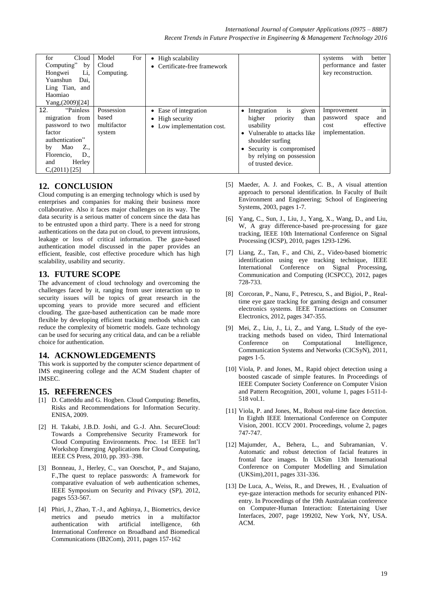| for<br>Cloud<br>Computing"<br>by<br>Li,<br>Hongwei<br>Yuanshun<br>Dai,<br>Ling Tian, and<br>Haomiao<br>Yang, $(2009)$ [24]                                      | Model<br>For<br>Cloud<br>Computing.          | • High scalability<br>• Certificate-free framework                     |                                                                                                                                                                                                                   | with<br>better<br>systems<br>performance and faster<br>key reconstruction.            |
|-----------------------------------------------------------------------------------------------------------------------------------------------------------------|----------------------------------------------|------------------------------------------------------------------------|-------------------------------------------------------------------------------------------------------------------------------------------------------------------------------------------------------------------|---------------------------------------------------------------------------------------|
| 12.<br>"Painless"<br>migration from<br>password to two<br>factor<br>authentication"<br>Z.,<br>Mao<br>by<br>D.,<br>Florencio,<br>Herley<br>and<br>$C(2011)$ [25] | Possession<br>based<br>multifactor<br>system | • Ease of integration<br>• High security<br>• Low implementation cost. | • Integration<br>given<br><b>1S</b><br>higher<br>priority<br>than<br>usability<br>• Vulnerable to attacks like<br>shoulder surfing<br>• Security is compromised<br>by relying on possession<br>of trusted device. | in<br>Improvement<br>password<br>and<br>space<br>effective<br>cost<br>implementation. |

# **12. CONCLUSION**

Cloud computing is an emerging technology which is used by enterprises and companies for making their business more collaborative. Also it faces major challenges on its way. The data security is a serious matter of concern since the data has to be entrusted upon a third party. There is a need for strong authentications on the data put on cloud, to prevent intrusions, leakage or loss of critical information. The gaze-based authentication model discussed in the paper provides an efficient, feasible, cost effective procedure which has high scalability, usability and security.

# **13. FUTURE SCOPE**

The advancement of cloud technology and overcoming the challenges faced by it, ranging from user interaction up to security issues will be topics of great research in the upcoming years to provide more secured and efficient clouding. The gaze-based authentication can be made more flexible by developing efficient tracking methods which can reduce the complexity of biometric models. Gaze technology can be used for securing any critical data, and can be a reliable choice for authentication.

#### **14. ACKNOWLEDGEMENTS**

This work is supported by the computer science department of IMS engineering college and the ACM Student chapter of IMSEC.

#### **15. REFERENCES**

- [1] D. Catteddu and G. Hogben. Cloud Computing: Benefits, Risks and Recommendations for Information Security. ENISA, 2009.
- [2] H. Takabi, J.B.D. Joshi, and G.-J. Ahn. SecureCloud: Towards a Comprehensive Security Framework for Cloud Computing Environments. Proc. 1st IEEE Int'l Workshop Emerging Applications for Cloud Computing, IEEE CS Press, 2010, pp. 393–398.
- [3] Bonneau, J., Herley, C., van Oorschot, P., and Stajano, F.,The quest to replace passwords: A framework for comparative evaluation of web authentication schemes, IEEE Symposium on Security and Privacy (SP), 2012, pages 553-567.
- [4] Phiri, J., Zhao, T.-J., and Agbinya, J., Biometrics, device metrics and pseudo metrics in a multifactor authentication with artificial intelligence, 6th International Conference on Broadband and Biomedical Communications (IB2Com), 2011, pages 157-162
- [5] Maeder, A. J. and Fookes, C. B., A visual attention approach to personal identification. In Faculty of Built Environment and Engineering; School of Engineering Systems, 2003, pages 1-7.
- [6] Yang, C., Sun, J., Liu, J., Yang, X., Wang, D., and Liu, W, A gray difference-based pre-processing for gaze tracking, IEEE 10th International Conference on Signal Processing (ICSP), 2010, pages 1293-1296.
- [7] Liang, Z., Tan, F., and Chi, Z., Video-based biometric identification using eye tracking technique, IEEE International Conference on Signal Processing, Communication and Computing (ICSPCC), 2012, pages 728-733.
- [8] Corcoran, P., Nanu, F., Petrescu, S., and Bigioi, P., Realtime eye gaze tracking for gaming design and consumer electronics systems. IEEE Transactions on Consumer Electronics, 2012, pages 347-355.
- [9] Mei, Z., Liu, J., Li, Z., and Yang, L.Study of the eyetracking methods based on video, Third International Conference on Computational Intelligence, Communication Systems and Networks (CICSyN), 2011, pages 1-5.
- [10] Viola, P. and Jones, M., Rapid object detection using a boosted cascade of simple features. In Proceedings of IEEE Computer Society Conference on Computer Vision and Pattern Recognition, 2001, volume 1, pages I-511-I-518 vol.1.
- [11] Viola, P. and Jones, M., Robust real-time face detection. In Eighth IEEE International Conference on Computer Vision, 2001. ICCV 2001. Proceedings, volume 2, pages 747-747.
- [12] Majumder, A., Behera, L., and Subramanian, V. Automatic and robust detection of facial features in frontal face images. In UkSim 13th International Conference on Computer Modelling and Simulation (UKSim),2011, pages 331-336.
- [13] De Luca, A., Weiss, R., and Drewes, H., Evaluation of eye-gaze interaction methods for security enhanced PINentry. In Proceedings of the 19th Australasian conference on Computer-Human Interaction: Entertaining User Interfaces, 2007, page 199202, New York, NY, USA. ACM.